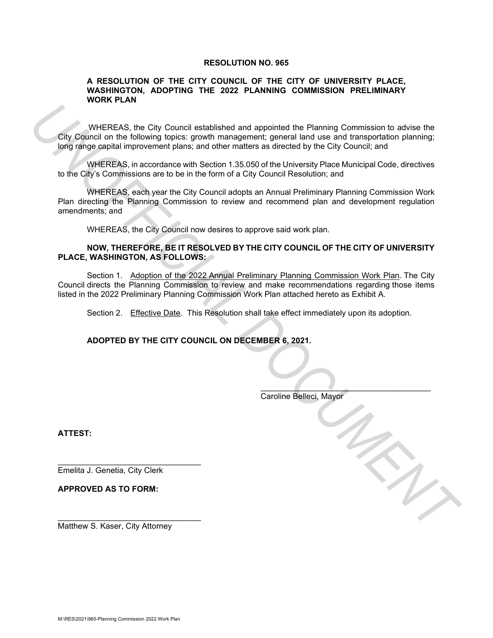## **RESOLUTION NO. 965**

## **A RESOLUTION OF THE CITY COUNCIL OF THE CITY OF UNIVERSITY PLACE, WASHINGTON, ADOPTING THE 2022 PLANNING COMMISSION PRELIMINARY WORK PLAN**

WHEREAS, the City Council established and appointed the Planning Commission to advise the City Council on the following topics: growth management; general land use and transportation planning; long range capital improvement plans; and other matters as directed by the City Council; and

WHEREAS, in accordance with Section 1.35.050 of the University Place Municipal Code, directives to the City's Commissions are to be in the form of a City Council Resolution; and

WHEREAS, each year the City Council adopts an Annual Preliminary Planning Commission Work Plan directing the Planning Commission to review and recommend plan and development regulation amendments; and

WHEREAS, the City Council now desires to approve said work plan.

## **NOW, THEREFORE, BE IT RESOLVED BY THE CITY COUNCIL OF THE CITY OF UNIVERSITY PLACE, WASHINGTON, AS FOLLOWS:**

Section 1. Adoption of the 2022 Annual Preliminary Planning Commission Work Plan. The City Council directs the Planning Commission to review and make recommendations regarding those items listed in the 2022 Preliminary Planning Commission Work Plan attached hereto as Exhibit A. **UNITEREAS, the City Council established and appointed the Planning Commission to arbite the City Council on the following topics: growth management; general land use and transportation planning:<br>
United City Council and D** 

Section 2. Effective Date. This Resolution shall take effect immediately upon its adoption.

**ADOPTED BY THE CITY COUNCIL ON DECEMBER 6, 2021.** 

Caroline Belleci, Mayor

 $\overline{\phantom{a}}$ 

**ATTEST:**

Emelita J. Genetia, City Clerk

\_\_\_\_\_\_\_\_\_\_\_\_\_\_\_\_\_\_\_\_\_\_\_\_\_\_\_\_\_\_\_\_

\_\_\_\_\_\_\_\_\_\_\_\_\_\_\_\_\_\_\_\_\_\_\_\_\_\_\_\_\_\_\_\_

**APPROVED AS TO FORM:**

Matthew S. Kaser, City Attorney